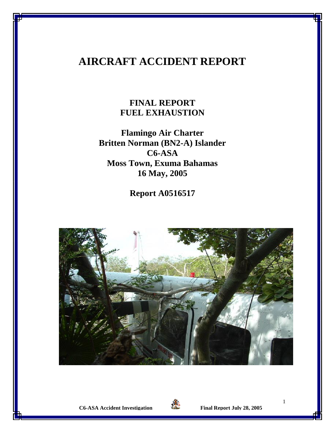# **AIRCRAFT ACCIDENT REPORT**

**FINAL REPORT FUEL EXHAUSTION**

**Flamingo Air Charter Britten Norman (BN2-A) Islander C6-ASA Moss Town, Exuma Bahamas 16 May, 2005**

**Report A0516517**





**C6-ASA Accident Investigation Final Report July 28, 2005**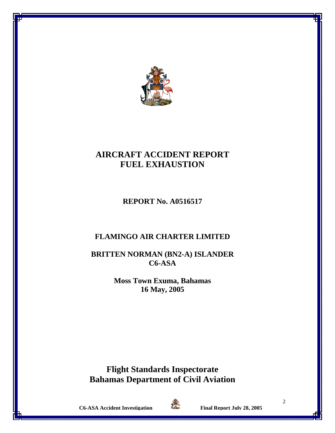

# **AIRCRAFT ACCIDENT REPORT FUEL EXHAUSTION**

**REPORT No. A0516517**

# **FLAMINGO AIR CHARTER LIMITED**

**BRITTEN NORMAN (BN2-A) ISLANDER C6-ASA**

> **Moss Town Exuma, Bahamas 16 May, 2005**

**Flight Standards Inspectorate Bahamas Department of Civil Aviation**

**C6-ASA Accident Investigation Final Report July 28, 2005**

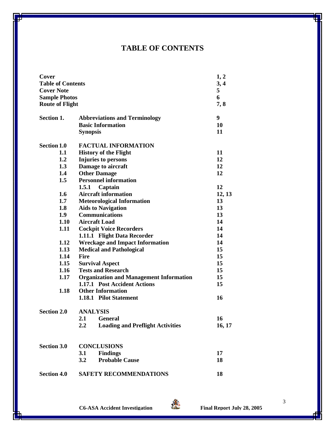# **TABLE OF CONTENTS**

| Cover                    |                                                |        |  |
|--------------------------|------------------------------------------------|--------|--|
| <b>Table of Contents</b> |                                                |        |  |
| <b>Cover Note</b>        |                                                |        |  |
| <b>Sample Photos</b>     | 6                                              |        |  |
| <b>Route of Flight</b>   |                                                | 7,8    |  |
| Section 1.               | <b>Abbreviations and Terminology</b>           | 9      |  |
|                          | <b>Basic Information</b>                       | 10     |  |
|                          | <b>Synopsis</b>                                | 11     |  |
| <b>Section 1.0</b>       | <b>FACTUAL INFORMATION</b>                     |        |  |
| 1.1                      | <b>History of the Flight</b>                   | 11     |  |
| 1.2                      | Injuries to persons                            | 12     |  |
| 1.3                      | Damage to aircraft                             | 12     |  |
| 1.4                      | <b>Other Damage</b>                            | 12     |  |
| 1.5                      | <b>Personnel information</b>                   |        |  |
|                          | 1.5.1<br>Captain                               | 12     |  |
| 1.6                      | <b>Aircraft information</b>                    | 12, 13 |  |
| 1.7                      | <b>Meteorological Information</b>              | 13     |  |
| 1.8                      | <b>Aids to Navigation</b>                      | 13     |  |
| 1.9 <sub>2</sub>         | <b>Communications</b>                          | 13     |  |
| 1.10                     | <b>Aircraft Load</b>                           | 14     |  |
| 1.11                     | <b>Cockpit Voice Recorders</b>                 | 14     |  |
|                          | 1.11.1 Flight Data Recorder                    | 14     |  |
| 1.12                     | <b>Wreckage and Impact Information</b>         | 14     |  |
| 1.13                     | <b>Medical and Pathological</b>                | 15     |  |
| 1.14                     | Fire                                           | 15     |  |
| 1.15                     | <b>Survival Aspect</b>                         | 15     |  |
| 1.16                     | <b>Tests and Research</b>                      | 15     |  |
| 1.17                     | <b>Organization and Management Information</b> | 15     |  |
|                          | 1.17.1 Post Accident Actions                   | 15     |  |
| 1.18                     | <b>Other Information</b>                       |        |  |
|                          | 1.18.1 Pilot Statement                         | 16     |  |
| <b>Section 2.0</b>       | <b>ANALYSIS</b>                                |        |  |
|                          | 2.1<br>General                                 | 16     |  |
|                          | 2.2<br><b>Loading and Preflight Activities</b> | 16, 17 |  |
| <b>Section 3.0</b>       | <b>CONCLUSIONS</b>                             |        |  |
|                          | 3.1<br><b>Findings</b>                         | 17     |  |
|                          | <b>Probable Cause</b><br>3.2                   | 18     |  |
|                          |                                                |        |  |
| <b>Section 4.0</b>       | <b>SAFETY RECOMMENDATIONS</b><br>18            |        |  |

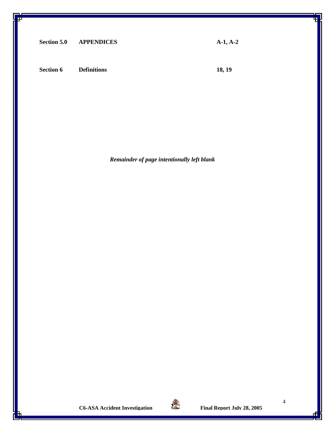|                              | Section 5.0 APPENDICES | $A-1, A-2$ |
|------------------------------|------------------------|------------|
| <b>Section 6</b> Definitions |                        | 18, 19     |

*Remainder of page intentionally left blank*

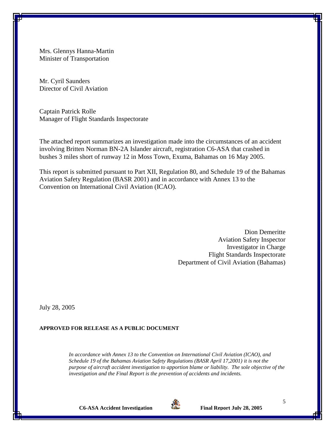Mrs. Glennys Hanna-Martin Minister of Transportation

Mr. Cyril Saunders Director of Civil Aviation

Captain Patrick Rolle Manager of Flight Standards Inspectorate

The attached report summarizes an investigation made into the circumstances of an accident involving Britten Norman BN-2A Islander aircraft, registration C6-ASA that crashed in bushes 3 miles short of runway 12 in Moss Town, Exuma, Bahamas on 16 May 2005.

This report is submitted pursuant to Part XII, Regulation 80, and Schedule 19 of the Bahamas Aviation Safety Regulation (BASR 2001) and in accordance with Annex 13 to the Convention on International Civil Aviation (ICAO).

> Dion Demeritte Aviation Safety Inspector Investigator in Charge Flight Standards Inspectorate Department of Civil Aviation (Bahamas)

July 28, 2005

#### **APPROVED FOR RELEASE AS A PUBLIC DOCUMENT**

*In accordance with Annex 13 to the Convention on International Civil Aviation (ICAO), and Schedule 19 of the Bahamas Aviation Safety Regulations (BASR April 17,2001) it is not the purpose of aircraft accident investigation to apportion blame or liability. The sole objective of the investigation and the Final Report is the prevention of accidents and incidents.*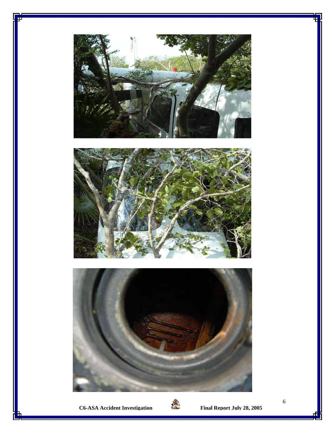





C6-ASA Accident Investigation Final Report July 28, 2005

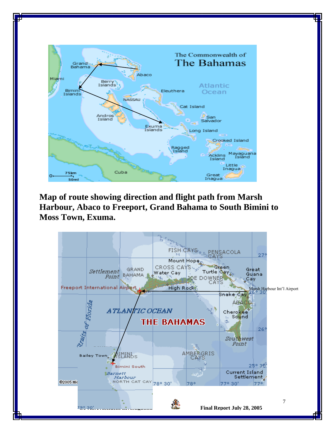

**Map of route showing direction and flight path from Marsh Harbour, Abaco to Freeport, Grand Bahama to South Bimini to Moss Town, Exuma.**

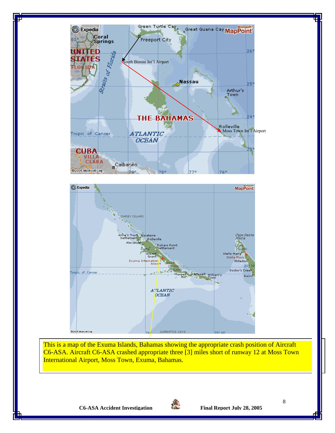



This is a map of the Exuma Islands, Bahamas showing the appropriate crash position of Aircraft C6-ASA. Aircraft C6-ASA crashed appropriate three [3] miles short of runway 12 at Moss Town International Airport, Moss Town, Exuma, Bahamas.

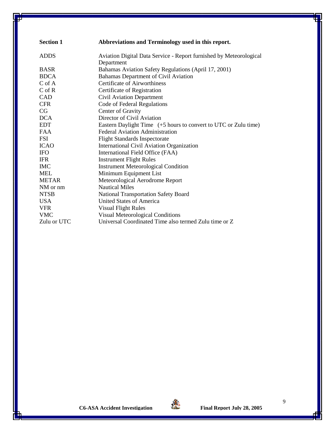| <b>Section 1</b> | Abbreviations and Terminology used in this report.                 |
|------------------|--------------------------------------------------------------------|
| <b>ADDS</b>      | Aviation Digital Data Service - Report furnished by Meteorological |
|                  | Department                                                         |
| <b>BASR</b>      | Bahamas Aviation Safety Regulations (April 17, 2001)               |
| <b>BDCA</b>      | Bahamas Department of Civil Aviation                               |
| $C \circ f A$    | Certificate of Airworthiness                                       |
| $C$ of $R$       | Certificate of Registration                                        |
| CAD              | Civil Aviation Department                                          |
| <b>CFR</b>       | Code of Federal Regulations                                        |
| CG               | Center of Gravity                                                  |
| <b>DCA</b>       | Director of Civil Aviation                                         |
| <b>EDT</b>       | Eastern Daylight Time $(+5$ hours to convert to UTC or Zulu time)  |
| <b>FAA</b>       | Federal Aviation Administration                                    |
| <b>FSI</b>       | <b>Flight Standards Inspectorate</b>                               |
| <b>ICAO</b>      | <b>International Civil Aviation Organization</b>                   |
| <b>IFO</b>       | International Field Office (FAA)                                   |
| <b>IFR</b>       | <b>Instrument Flight Rules</b>                                     |
| <b>IMC</b>       | <b>Instrument Meteorological Condition</b>                         |
| <b>MEL</b>       | Minimum Equipment List                                             |
| <b>METAR</b>     | Meteorological Aerodrome Report                                    |
| NM or nm         | <b>Nautical Miles</b>                                              |
| <b>NTSB</b>      | National Transportation Safety Board                               |
| USA.             | United States of America                                           |
| <b>VFR</b>       | <b>Visual Flight Rules</b>                                         |
| <b>VMC</b>       | Visual Meteorological Conditions                                   |
| Zulu or UTC      | Universal Coordinated Time also termed Zulu time or Z              |

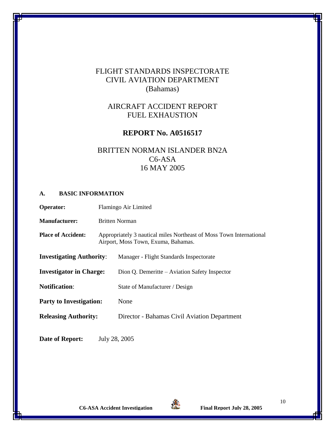# FLIGHT STANDARDS INSPECTORATE CIVIL AVIATION DEPARTMENT (Bahamas)

# AIRCRAFT ACCIDENT REPORT FUEL EXHAUSTION

# **REPORT No. A0516517**

# BRITTEN NORMAN ISLANDER BN2A C6-ASA 16 MAY 2005

#### **A. BASIC INFORMATION**

| Operator:                       |  | Flamingo Air Limited                                                                                       |
|---------------------------------|--|------------------------------------------------------------------------------------------------------------|
| <b>Manufacturer:</b>            |  | <b>Britten Norman</b>                                                                                      |
| <b>Place of Accident:</b>       |  | Appropriately 3 nautical miles Northeast of Moss Town International<br>Airport, Moss Town, Exuma, Bahamas. |
| <b>Investigating Authority:</b> |  | Manager - Flight Standards Inspectorate                                                                    |
| <b>Investigator in Charge:</b>  |  | Dion Q. Demeritte – Aviation Safety Inspector                                                              |
| <b>Notification:</b>            |  | State of Manufacturer / Design                                                                             |
| <b>Party to Investigation:</b>  |  | None                                                                                                       |
| <b>Releasing Authority:</b>     |  | Director - Bahamas Civil Aviation Department                                                               |
|                                 |  |                                                                                                            |

**Date of Report:** July 28, 2005

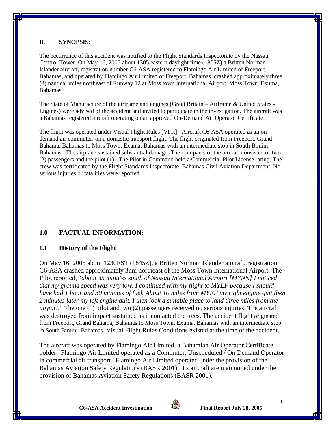#### **B. SYNOPSIS:**

The occurrence of this accident was notified to the Flight Standards Inspectorate by the Nassau Control Tower. On May 16, 2005 about 1305 eastern daylight time (1805Z) a Britten Norman Islander aircraft, registration number C6-ASA registered to Flamingo Air Limited of Freeport, Bahamas, and operated by Flamingo Air Limited of Freeport, Bahamas, crashed approximately three (3) nautical miles northeast of Runway 12 at Moss town International Airport, Moss Town, Exuma, Bahamas

The State of Manufacture of the airframe and engines (Great Britain – Airframe & United States - Engines) were advised of the accident and invited to participate in the investigation. The aircraft was a Bahamas registered aircraft operating on an approved On-Demand Air Operator Certificate.

The flight was operated under Visual Flight Rules [VFR]. Aircraft C6-ASA operated as an ondemand air commuter, on a domestic transport flight. The flight originated from Freeport, Grand Bahama, Bahamas to Moss Town, Exuma, Bahamas with an intermediate stop in South Bimini, Bahamas. The airplane sustained substantial damage. The occupants of the aircraft consisted of two (2) passengers and the pilot (1). The Pilot in Command held a Commercial Pilot License rating. The crew was certificated by the Flight Standards Inspectorate, Bahamas Civil Aviation Department. No serious injuries or fatalities were reported.

# **1.0 FACTUAL INFORMATION:**

#### **1.1 History of the Flight**

On May 16, 2005 about 1230EST (1845Z), a Britten Norman Islander aircraft, registration C6-ASA crashed approximately 3nm northeast of the Moss Town International Airport. The Pilot reported, "*about 35 minutes south of Nassau International Airport [MYNN] I noticed that my ground speed was very low. I continued with my flight to MYEF because I should have had 1 hour and 30 minutes of fuel. About 10 miles from MYEF my right engine quit then 2 minutes later my left engine quit. I then look a suitable place to land three miles from the airport*." The one (1) pilot and two (2) passengers received no serious injuries. The aircraft was destroyed from impact sustained as it contacted the trees. The accident flight originated from Freeport, Grand Bahama, Bahamas to Moss Town, Exuma, Bahamas with an intermediate stop in South Bimini, Bahamas. Visual Flight Rules Conditions existed at the time of the accident.

The aircraft was operated by Flamingo Air Limited, a Bahamian Air Operator Certificate holder. Flamingo Air Limited operated as a Commuter, Unscheduled / On Demand Operator in commercial air transport. Flamingo Air Limited operated under the provision of the Bahamas Aviation Safety Regulations (BASR 2001). Its aircraft are maintained under the provision of Bahamas Aviation Safety Regulations (BASR 2001).

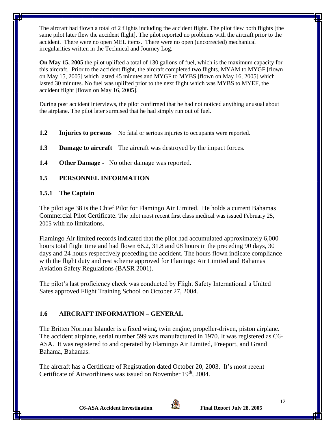The aircraft had flown a total of 2 flights including the accident flight. The pilot flew both flights [the same pilot later flew the accident flight]. The pilot reported no problems with the aircraft prior to the accident. There were no open MEL items. There were no open (uncorrected) mechanical irregularities written in the Technical and Journey Log.

**On May 15, 2005** the pilot uplifted a total of 130 gallons of fuel, which is the maximum capacity for this aircraft. Prior to the accident flight, the aircraft completed two flights, MYAM to MYGF [flown on May 15, 2005] which lasted 45 minutes and MYGF to MYBS [flown on May 16, 2005] which lasted 30 minutes. No fuel was uplifted prior to the next flight which was MYBS to MYEF, the accident flight [flown on May 16, 2005].

During post accident interviews, the pilot confirmed that he had not noticed anything unusual about the airplane. The pilot later surmised that he had simply run out of fuel.

- **1.2 Injuries to persons** No fatal or serious injuries to occupants were reported.
- **1.3 Damage to aircraft** The aircraft was destroyed by the impact forces.
- **1.4 Other Damage** No other damage was reported.

#### **1.5 PERSONNEL INFORMATION**

#### **1.5.1 The Captain**

The pilot age 38 is the Chief Pilot for Flamingo Air Limited. He holds a current Bahamas Commercial Pilot Certificate. The pilot most recent first class medical was issued February 25, 2005 with no limitations.

Flamingo Air limited records indicated that the pilot had accumulated approximately 6,000 hours total flight time and had flown 66.2, 31.8 and 08 hours in the preceding 90 days, 30 days and 24 hours respectively preceding the accident. The hours flown indicate compliance with the flight duty and rest scheme approved for Flamingo Air Limited and Bahamas Aviation Safety Regulations (BASR 2001).

The pilot's last proficiency check was conducted by Flight Safety International a United Sates approved Flight Training School on October 27, 2004.

#### **1.6 AIRCRAFT INFORMATION – GENERAL**

The Britten Norman Islander is a fixed wing, twin engine, propeller-driven, piston airplane. The accident airplane, serial number 599 was manufactured in 1970. It was registered as C6- ASA. It was registered to and operated by Flamingo Air Limited, Freeport, and Grand Bahama, Bahamas.

The aircraft has a Certificate of Registration dated October 20, 2003. It's most recent Certificate of Airworthiness was issued on November 19<sup>th</sup>, 2004.

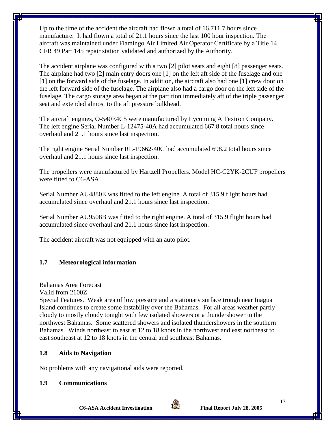Up to the time of the accident the aircraft had flown a total of 16,711.7 hours since manufacture. It had flown a total of 21.1 hours since the last 100 hour inspection. The aircraft was maintained under Flamingo Air Limited Air Operator Certificate by a Title 14 CFR 49 Part 145 repair station validated and authorized by the Authority.

The accident airplane was configured with a two [2] pilot seats and eight [8] passenger seats. The airplane had two [2] main entry doors one [1] on the left aft side of the fuselage and one [1] on the forward side of the fuselage. In addition, the aircraft also had one [1] crew door on the left forward side of the fuselage. The airplane also had a cargo door on the left side of the fuselage. The cargo storage area began at the partition immediately aft of the triple passenger seat and extended almost to the aft pressure bulkhead.

The aircraft engines, O-540E4C5 were manufactured by Lycoming A Textron Company. The left engine Serial Number L-12475-40A had accumulated 667.8 total hours since overhaul and 21.1 hours since last inspection.

The right engine Serial Number RL-19662-40C had accumulated 698.2 total hours since overhaul and 21.1 hours since last inspection.

The propellers were manufactured by Hartzell Propellers. Model HC-C2YK-2CUF propellers were fitted to C6-ASA.

Serial Number AU4880E was fitted to the left engine. A total of 315.9 flight hours had accumulated since overhaul and 21.1 hours since last inspection.

Serial Number AU9508B was fitted to the right engine. A total of 315.9 flight hours had accumulated since overhaul and 21.1 hours since last inspection.

The accident aircraft was not equipped with an auto pilot.

## **1.7 Meteorological information**

#### Bahamas Area Forecast

Valid from 2100Z

Special Features. Weak area of low pressure and a stationary surface trough near Inagua Island continues to create some instability over the Bahamas. For all areas weather partly cloudy to mostly cloudy tonight with few isolated showers or a thundershower in the northwest Bahamas. Some scattered showers and isolated thundershowers in the southern Bahamas. Winds northeast to east at 12 to 18 knots in the northwest and east northeast to east southeast at 12 to 18 knots in the central and southeast Bahamas.

#### **1.8 Aids to Navigation**

No problems with any navigational aids were reported.

## **1.9 Communications**



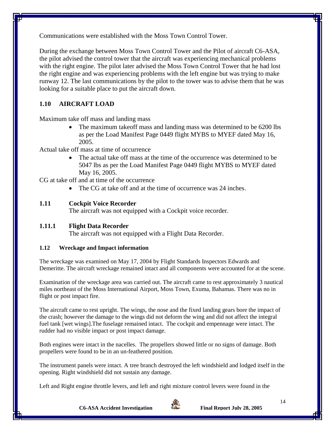Communications were established with the Moss Town Control Tower.

During the exchange between Moss Town Control Tower and the Pilot of aircraft C6-ASA, the pilot advised the control tower that the aircraft was experiencing mechanical problems with the right engine. The pilot later advised the Moss Town Control Tower that he had lost the right engine and was experiencing problems with the left engine but was trying to make runway 12. The last communications by the pilot to the tower was to advise them that he was looking for a suitable place to put the aircraft down.

# **1.10 AIRCRAFT LOAD**

Maximum take off mass and landing mass

• The maximum takeoff mass and landing mass was determined to be 6200 lbs as per the Load Manifest Page 0449 flight MYBS to MYEF dated May 16, 2005.

Actual take off mass at time of occurrence

 The actual take off mass at the time of the occurrence was determined to be 5047 lbs as per the Load Manifest Page 0449 flight MYBS to MYEF dated May 16, 2005.

CG at take off and at time of the occurrence

The CG at take off and at the time of occurrence was 24 inches.

#### **1.11 Cockpit Voice Recorder**

The aircraft was not equipped with a Cockpit voice recorder.

#### **1.11.1 Flight Data Recorder**

The aircraft was not equipped with a Flight Data Recorder.

#### **1.12 Wreckage and Impact information**

The wreckage was examined on May 17, 2004 by Flight Standards Inspectors Edwards and Demeritte. The aircraft wreckage remained intact and all components were accounted for at the scene.

Examination of the wreckage area was carried out. The aircraft came to rest approximately 3 nautical miles northeast of the Moss International Airport, Moss Town, Exuma, Bahamas. There was no in flight or post impact fire.

The aircraft came to rest upright. The wings, the nose and the fixed landing gears bore the impact of the crash; however the damage to the wings did not deform the wing and did not affect the integral fuel tank [wet wings].The fuselage remained intact. The cockpit and empennage were intact. The rudder had no visible impact or post impact damage.

Both engines were intact in the nacelles. The propellers showed little or no signs of damage. Both propellers were found to be in an un-feathered position.

The instrument panels were intact. A tree branch destroyed the left windshield and lodged itself in the opening. Right windshield did not sustain any damage.

Left and Right engine throttle levers, and left and right mixture control levers were found in the



**C6-ASA Accident Investigation Final Report July 28, 2005**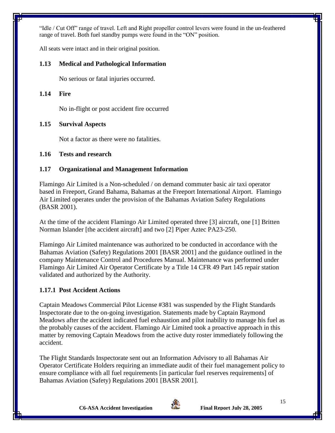"Idle / Cut Off" range of travel. Left and Right propeller control levers were found in the un-feathered range of travel. Both fuel standby pumps were found in the "ON" position.

All seats were intact and in their original position.

## **1.13 Medical and Pathological Information**

No serious or fatal injuries occurred.

## **1.14 Fire**

No in-flight or post accident fire occurred

# **1.15 Survival Aspects**

Not a factor as there were no fatalities.

## **1.16 Tests and research**

## **1.17 Organizational and Management Information**

Flamingo Air Limited is a Non-scheduled / on demand commuter basic air taxi operator based in Freeport, Grand Bahama, Bahamas at the Freeport International Airport. Flamingo Air Limited operates under the provision of the Bahamas Aviation Safety Regulations (BASR 2001).

At the time of the accident Flamingo Air Limited operated three [3] aircraft, one [1] Britten Norman Islander [the accident aircraft] and two [2] Piper Aztec PA23-250.

Flamingo Air Limited maintenance was authorized to be conducted in accordance with the Bahamas Aviation (Safety) Regulations 2001 [BASR 2001] and the guidance outlined in the company Maintenance Control and Procedures Manual. Maintenance was performed under Flamingo Air Limited Air Operator Certificate by a Title 14 CFR 49 Part 145 repair station validated and authorized by the Authority.

# **1.17.1 Post Accident Actions**

Captain Meadows Commercial Pilot License #381 was suspended by the Flight Standards Inspectorate due to the on-going investigation. Statements made by Captain Raymond Meadows after the accident indicated fuel exhaustion and pilot inability to manage his fuel as the probably causes of the accident. Flamingo Air Limited took a proactive approach in this matter by removing Captain Meadows from the active duty roster immediately following the accident.

The Flight Standards Inspectorate sent out an Information Advisory to all Bahamas Air Operator Certificate Holders requiring an immediate audit of their fuel management policy to ensure compliance with all fuel requirements [in particular fuel reserves requirements] of Bahamas Aviation (Safety) Regulations 2001 [BASR 2001].

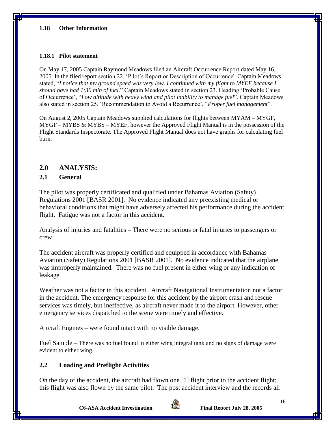#### **1.18 Other Information**

#### **1.18.1 Pilot statement**

On May 17, 2005 Captain Raymond Meadows filed an Aircraft Occurrence Report dated May 16, 2005. In the filed report section 22. 'Pilot's Report or Description of Occurrence' Captain Meadows stated, "*I notice that my ground speed was very low. I continued with my flight to MYEF because I should have had 1:30 min of fuel*." Captain Meadows stated in section 23. Heading 'Probable Cause of Occurrence', "*Low altitude with heavy wind and pilot inability to manage fuel*". Captain Meadows also stated in section 25. 'Recommendation to Avoid a Recurrence', "*Proper fuel management*".

On August 2, 2005 Captain Meadows supplied calculations for flights between MYAM – MYGF, MYGF – MYBS & MYBS – MYEF, however the Approved Flight Manual is in the possession of the Flight Standards Inspectorate. The Approved Flight Manual does not have graphs for calculating fuel burn.

# **2.0 ANALYSIS:**

## **2.1 General**

The pilot was properly certificated and qualified under Bahamas Aviation (Safety) Regulations 2001 [BASR 2001]. No evidence indicated any preexisting medical or behavioral conditions that might have adversely affected his performance during the accident flight. Fatigue was not a factor in this accident.

Analysis of injuries and fatalities **–** There were no serious or fatal injuries to passengers or crew.

The accident aircraft was properly certified and equipped in accordance with Bahamas Aviation (Safety) Regulations 2001 [BASR 2001]. No evidence indicated that the airplane was improperly maintained. There was no fuel present in either wing or any indication of leakage.

Weather was not a factor in this accident. Aircraft Navigational Instrumentation not a factor in the accident. The emergency response for this accident by the airport crash and rescue services was timely, but ineffective, as aircraft never made it to the airport. However, other emergency services dispatched to the scene were timely and effective.

Aircraft Engines – were found intact with no visible damage.

Fuel Sample – There was no fuel found in either wing integral tank and no signs of damage were evident to either wing.

# **2.2 Loading and Preflight Activities**

On the day of the accident, the aircraft had flown one [1] flight prior to the accident flight; this flight was also flown by the same pilot. The post accident interview and the records all

**C6-ASA Accident Investigation Final Report July 28, 2005**

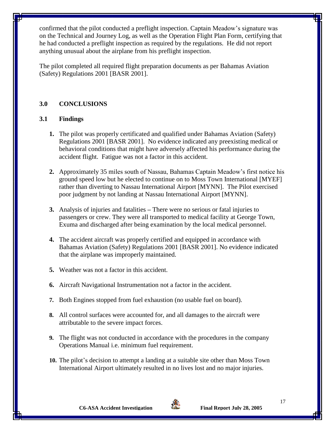confirmed that the pilot conducted a preflight inspection. Captain Meadow's signature was on the Technical and Journey Log, as well as the Operation Flight Plan Form, certifying that he had conducted a preflight inspection as required by the regulations. He did not report anything unusual about the airplane from his preflight inspection.

The pilot completed all required flight preparation documents as per Bahamas Aviation (Safety) Regulations 2001 [BASR 2001].

# **3.0 CONCLUSIONS**

# **3.1 Findings**

- **1.** The pilot was properly certificated and qualified under Bahamas Aviation (Safety) Regulations 2001 [BASR 2001]. No evidence indicated any preexisting medical or behavioral conditions that might have adversely affected his performance during the accident flight. Fatigue was not a factor in this accident.
- **2.** Approximately 35 miles south of Nassau, Bahamas Captain Meadow's first notice his ground speed low but he elected to continue on to Moss Town International [MYEF] rather than diverting to Nassau International Airport [MYNN]. The Pilot exercised poor judgment by not landing at Nassau International Airport [MYNN].
- **3.** Analysis of injuries and fatalities **–** There were no serious or fatal injuries to passengers or crew. They were all transported to medical facility at George Town, Exuma and discharged after being examination by the local medical personnel.
- **4.** The accident aircraft was properly certified and equipped in accordance with Bahamas Aviation (Safety) Regulations 2001 [BASR 2001]. No evidence indicated that the airplane was improperly maintained.
- **5.** Weather was not a factor in this accident.
- **6.** Aircraft Navigational Instrumentation not a factor in the accident.
- **7.** Both Engines stopped from fuel exhaustion (no usable fuel on board).
- **8.** All control surfaces were accounted for, and all damages to the aircraft were attributable to the severe impact forces.
- **9.** The flight was not conducted in accordance with the procedures in the company Operations Manual i.e. minimum fuel requirement.
- **10.** The pilot's decision to attempt a landing at a suitable site other than Moss Town International Airport ultimately resulted in no lives lost and no major injuries.

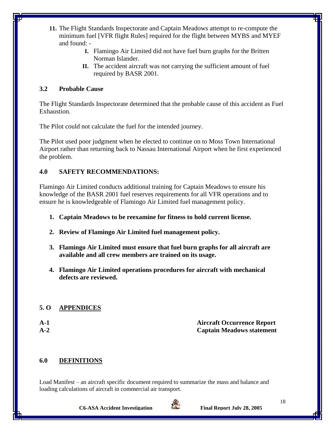- **11.** The Flight Standards Inspectorate and Captain Meadows attempt to re-compute the minimum fuel [VFR flight Rules] required for the flight between MYBS and MYEF and found: -
	- **I.** Flamingo Air Limited did not have fuel burn graphs for the Britten Norman Islander.
	- **II.** The accident aircraft was not carrying the sufficient amount of fuel required by BASR 2001.

# **3.2 Probable Cause**

The Flight Standards Inspectorate determined that the probable cause of this accident as Fuel Exhaustion.

The Pilot could not calculate the fuel for the intended journey.

The Pilot used poor judgment when he elected to continue on to Moss Town International Airport rather than returning back to Nassau International Airport when he first experienced the problem.

# **4.0 SAFETY RECOMMENDATIONS:**

Flamingo Air Limited conducts additional training for Captain Meadows to ensure his knowledge of the BASR 2001 fuel reserves requirements for all VFR operations and to ensure he is knowledgeable of Flamingo Air Limited fuel management policy.

- **1. Captain Meadows to be reexamine for fitness to hold current license.**
- **2. Review of Flamingo Air Limited fuel management policy.**
- **3. Flamingo Air Limited must ensure that fuel burn graphs for all aircraft are available and all crew members are trained on its usage.**
- **4. Flamingo Air Limited operations procedures for aircraft with mechanical defects are reviewed.**

# **5. O APPENDICES**

**A-1 Aircraft Occurrence Report A-2 Captain Meadows statement** 

# **6.0 DEFINITIONS**

Load Manifest – an aircraft specific document required to summarize the mass and balance and loading calculations of aircraft in commercial air transport.

**C6-ASA Accident Investigation Final Report July 28, 2005**

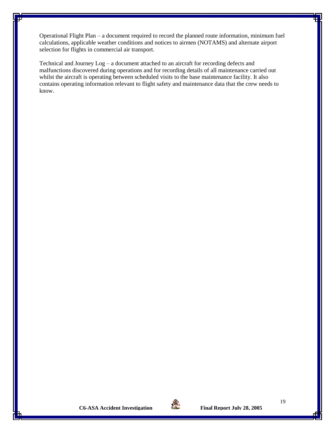Operational Flight Plan – a document required to record the planned route information, minimum fuel calculations, applicable weather conditions and notices to airmen (NOTAMS) and alternate airport selection for flights in commercial air transport.

Technical and Journey Log – a document attached to an aircraft for recording defects and malfunctions discovered during operations and for recording details of all maintenance carried out whilst the aircraft is operating between scheduled visits to the base maintenance facility. It also contains operating information relevant to flight safety and maintenance data that the crew needs to know.

**C6-ASA Accident Investigation Final Report July 28, 2005**

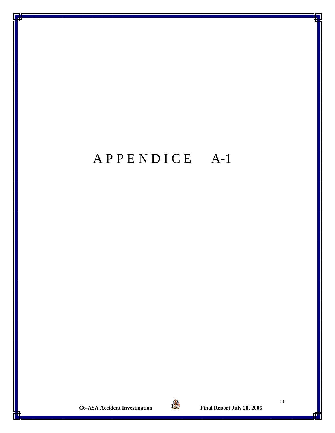# A P P E N D I C E A-1



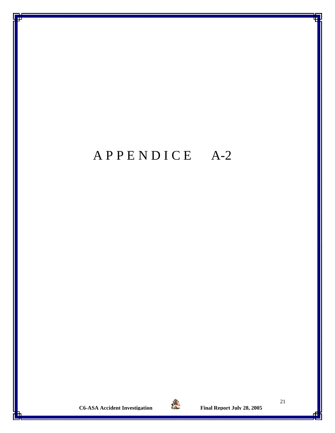# A P P E N D I C E A-2